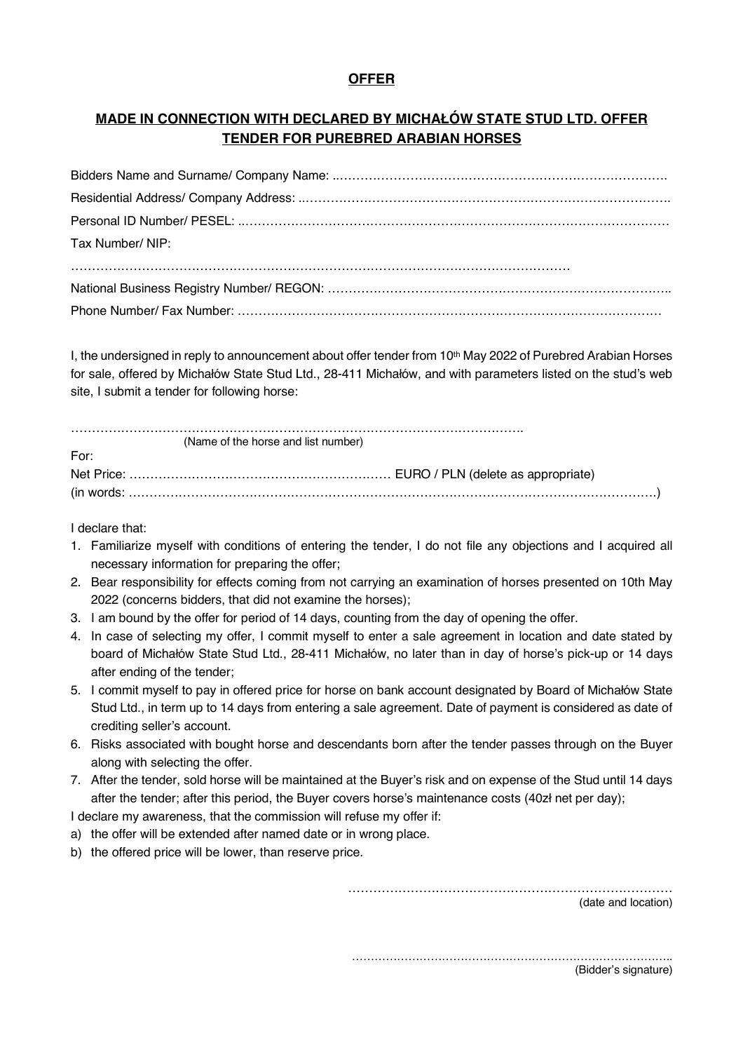## **OFFER**

## **MADE IN CONNECTION WITH DECLARED BY MICHAŁÓW STATE STUD LTD. OFFER TENDER FOR PUREBRED ARABIAN HORSES**

| Tax Number/ NIP: |
|------------------|
|                  |
|                  |
|                  |

I, the undersigned in reply to announcement about offer tender from 10<sup>th</sup> May 2022 of Purebred Arabian Horses for sale, offered by Michałów State Stud Ltd., 28-411 Michałów, and with parameters listed on the stud's web site, I submit a tender for following horse:

|      | (Name of the horse and list number) |
|------|-------------------------------------|
| For: |                                     |
|      |                                     |
|      |                                     |

I declare that:

- 1. Familiarize myself with conditions of entering the tender, I do not file any objections and I acquired all necessary information for preparing the offer;
- 2. Bear responsibility for effects coming from not carrying an examination of horses presented on 10th May 2022 (concerns bidders, that did not examine the horses);
- 3. I am bound by the offer for period of 14 days, counting from the day of opening the offer.
- 4. In case of selecting my offer, I commit myself to enter a sale agreement in location and date stated by board of Michałów State Stud Ltd., 28-411 Michałów, no later than in day of horse's pick-up or 14 days after ending of the tender;
- 5. I commit myself to pay in offered price for horse on bank account designated by Board of Michałów State Stud Ltd., in term up to 14 days from entering a sale agreement. Date of payment is considered as date of crediting seller's account.
- 6. Risks associated with bought horse and descendants born after the tender passes through on the Buyer along with selecting the offer.
- 7. After the tender, sold horse will be maintained at the Buyer's risk and on expense of the Stud until 14 days after the tender; after this period, the Buyer covers horse's maintenance costs (40zł net per day);

I declare my awareness, that the commission will refuse my offer if:

- a) the offer will be extended after named date or in wrong place.
- b) the offered price will be lower, than reserve price.

……………………………………………………………………

(date and location)

…………………………………………………………………………..

(Bidder's signature)